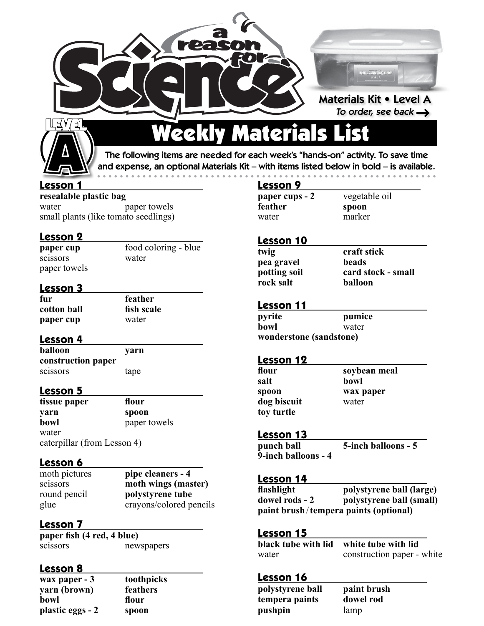



# Weekly Materials List

The following items are needed for each week's "hands-on" activity. To save time and expense, an optional Materials Kit – with items listed below in bold – is available. • • • • • • • • • • • • • • • • • • • • • • • • • • • • • • • • • • • • • • • • • • • • • • • • • • • • • • • • • • • •

#### **Lesson 1**

**resealable plastic bag** water paper towels small plants (like tomato seedlings)

#### **Lesson 2**

paper towels

**paper cup** food coloring - blue scissors water

#### **Lesson 3**

**fur feather cotton ball fish scale paper cup** water

**Lesson 4** 

**balloon yarn construction paper** scissors tape

#### **Lesson 5**

| tissue paper                | flour        |
|-----------------------------|--------------|
| yarn                        | spoon        |
| bowl                        | paper towels |
| water                       |              |
| caterpillar (from Lesson 4) |              |

**Lesson 6** moth pictures

pipe cleaners - 4 scissors **moth wings (master)**  round pencil **polystyrene tube** glue crayons/colored pencils

## **Lesson 7**

**paper fish (4 red, 4 blue)** scissorsnewspapers

#### **Lesson 8**

**wax paper - 3 toothpicks yarn (brown) feathers bowl flour plastic eggs - 2 spoon**

## **Lesson 9**

| paper cups - 2 | vegetable oil |
|----------------|---------------|
| feather        | spoon         |
| water          | marker        |

#### **Lesson 10**

| twig         | craft stick        |
|--------------|--------------------|
| pea gravel   | beads              |
| potting soil | card stock - small |
| rock salt    | balloon            |
|              |                    |

#### **Lesson 11**

| pyrite                  | pumice |  |
|-------------------------|--------|--|
| bowl                    | water  |  |
| wonderstone (sandstone) |        |  |

#### **Lesson 12**

| flour       | soybean meal |
|-------------|--------------|
| salt        | bowl         |
| spoon       | wax paper    |
| dog biscuit | water        |
| toy turtle  |              |

#### **Lesson 13**

**punch ball 5-inch balloons - 5 9-inch balloons - 4**

#### **Lesson 14**

| flashlight     | polystyrene ball (large)              |
|----------------|---------------------------------------|
| dowel rods - 2 | polystyrene ball (small)              |
|                | paint brush/tempera paints (optional) |

#### **Lesson 15**

| --------- | black tube with lid white tube with lid |
|-----------|-----------------------------------------|
| water     | construction paper - white              |

#### **Lesson 16**

| polystyrene ball | paint brush |
|------------------|-------------|
| tempera paints   | dowel rod   |
| pushpin          | lamp        |